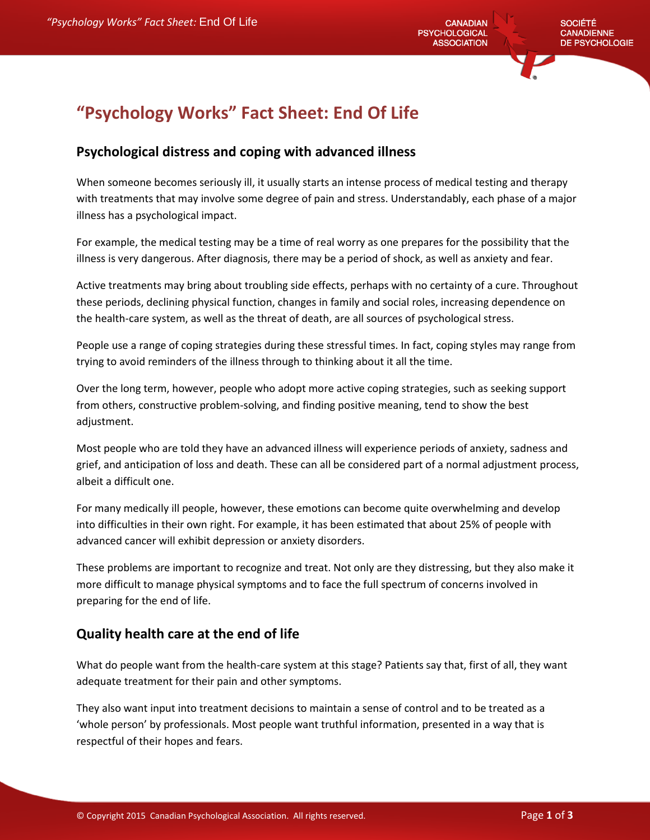# **"Psychology Works" Fact Sheet: End Of Life**

#### **Psychological distress and coping with advanced illness**

When someone becomes seriously ill, it usually starts an intense process of medical testing and therapy with treatments that may involve some degree of pain and stress. Understandably, each phase of a major illness has a psychological impact.

For example, the medical testing may be a time of real worry as one prepares for the possibility that the illness is very dangerous. After diagnosis, there may be a period of shock, as well as anxiety and fear.

Active treatments may bring about troubling side effects, perhaps with no certainty of a cure. Throughout these periods, declining physical function, changes in family and social roles, increasing dependence on the health-care system, as well as the threat of death, are all sources of psychological stress.

People use a range of coping strategies during these stressful times. In fact, coping styles may range from trying to avoid reminders of the illness through to thinking about it all the time.

Over the long term, however, people who adopt more active coping strategies, such as seeking support from others, constructive problem-solving, and finding positive meaning, tend to show the best adjustment.

Most people who are told they have an advanced illness will experience periods of anxiety, sadness and grief, and anticipation of loss and death. These can all be considered part of a normal adjustment process, albeit a difficult one.

For many medically ill people, however, these emotions can become quite overwhelming and develop into difficulties in their own right. For example, it has been estimated that about 25% of people with advanced cancer will exhibit depression or anxiety disorders.

These problems are important to recognize and treat. Not only are they distressing, but they also make it more difficult to manage physical symptoms and to face the full spectrum of concerns involved in preparing for the end of life.

### **Quality health care at the end of life**

What do people want from the health-care system at this stage? Patients say that, first of all, they want adequate treatment for their pain and other symptoms.

They also want input into treatment decisions to maintain a sense of control and to be treated as a 'whole person' by professionals. Most people want truthful information, presented in a way that is respectful of their hopes and fears.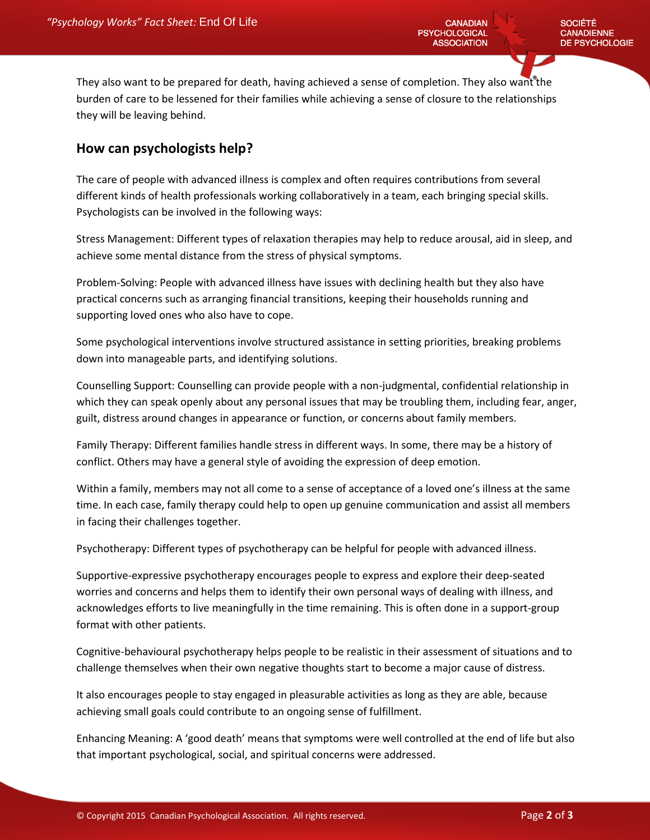**CANADIAN PSYCHOLOGICAL ASSOCIATION** 

They also want to be prepared for death, having achieved a sense of completion. They also want the burden of care to be lessened for their families while achieving a sense of closure to the relationships they will be leaving behind.

#### **How can psychologists help?**

The care of people with advanced illness is complex and often requires contributions from several different kinds of health professionals working collaboratively in a team, each bringing special skills. Psychologists can be involved in the following ways:

Stress Management: Different types of relaxation therapies may help to reduce arousal, aid in sleep, and achieve some mental distance from the stress of physical symptoms.

Problem-Solving: People with advanced illness have issues with declining health but they also have practical concerns such as arranging financial transitions, keeping their households running and supporting loved ones who also have to cope.

Some psychological interventions involve structured assistance in setting priorities, breaking problems down into manageable parts, and identifying solutions.

Counselling Support: Counselling can provide people with a non-judgmental, confidential relationship in which they can speak openly about any personal issues that may be troubling them, including fear, anger, guilt, distress around changes in appearance or function, or concerns about family members.

Family Therapy: Different families handle stress in different ways. In some, there may be a history of conflict. Others may have a general style of avoiding the expression of deep emotion.

Within a family, members may not all come to a sense of acceptance of a loved one's illness at the same time. In each case, family therapy could help to open up genuine communication and assist all members in facing their challenges together.

Psychotherapy: Different types of psychotherapy can be helpful for people with advanced illness.

Supportive-expressive psychotherapy encourages people to express and explore their deep-seated worries and concerns and helps them to identify their own personal ways of dealing with illness, and acknowledges efforts to live meaningfully in the time remaining. This is often done in a support-group format with other patients.

Cognitive-behavioural psychotherapy helps people to be realistic in their assessment of situations and to challenge themselves when their own negative thoughts start to become a major cause of distress.

It also encourages people to stay engaged in pleasurable activities as long as they are able, because achieving small goals could contribute to an ongoing sense of fulfillment.

Enhancing Meaning: A 'good death' means that symptoms were well controlled at the end of life but also that important psychological, social, and spiritual concerns were addressed.